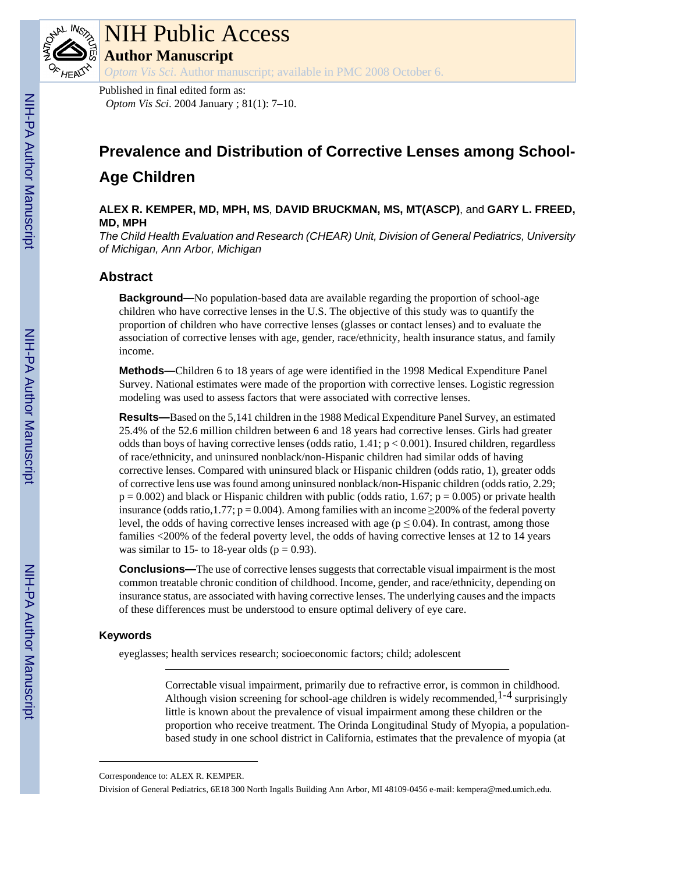

# NIH Public Access

**Author Manuscript**

*Optom Vis Sci*. Author manuscript; available in PMC 2008 October 6.

Published in final edited form as: *Optom Vis Sci*. 2004 January ; 81(1): 7–10.

# **Prevalence and Distribution of Corrective Lenses among School-Age Children**

**ALEX R. KEMPER, MD, MPH, MS**, **DAVID BRUCKMAN, MS, MT(ASCP)**, and **GARY L. FREED, MD, MPH**

*The Child Health Evaluation and Research (CHEAR) Unit, Division of General Pediatrics, University of Michigan, Ann Arbor, Michigan*

# **Abstract**

**Background—**No population-based data are available regarding the proportion of school-age children who have corrective lenses in the U.S. The objective of this study was to quantify the proportion of children who have corrective lenses (glasses or contact lenses) and to evaluate the association of corrective lenses with age, gender, race/ethnicity, health insurance status, and family income.

**Methods—**Children 6 to 18 years of age were identified in the 1998 Medical Expenditure Panel Survey. National estimates were made of the proportion with corrective lenses. Logistic regression modeling was used to assess factors that were associated with corrective lenses.

**Results—**Based on the 5,141 children in the 1988 Medical Expenditure Panel Survey, an estimated 25.4% of the 52.6 million children between 6 and 18 years had corrective lenses. Girls had greater odds than boys of having corrective lenses (odds ratio,  $1.41$ ;  $p < 0.001$ ). Insured children, regardless of race/ethnicity, and uninsured nonblack/non-Hispanic children had similar odds of having corrective lenses. Compared with uninsured black or Hispanic children (odds ratio, 1), greater odds of corrective lens use was found among uninsured nonblack/non-Hispanic children (odds ratio, 2.29;  $p = 0.002$ ) and black or Hispanic children with public (odds ratio, 1.67;  $p = 0.005$ ) or private health insurance (odds ratio,1.77;  $p = 0.004$ ). Among families with an income  $\geq$ 200% of the federal poverty level, the odds of having corrective lenses increased with age ( $p \le 0.04$ ). In contrast, among those families <200% of the federal poverty level, the odds of having corrective lenses at 12 to 14 years was similar to 15- to 18-year olds ( $p = 0.93$ ).

**Conclusions—**The use of corrective lenses suggests that correctable visual impairment is the most common treatable chronic condition of childhood. Income, gender, and race/ethnicity, depending on insurance status, are associated with having corrective lenses. The underlying causes and the impacts of these differences must be understood to ensure optimal delivery of eye care.

# **Keywords**

eyeglasses; health services research; socioeconomic factors; child; adolescent

Correctable visual impairment, primarily due to refractive error, is common in childhood. Although vision screening for school-age children is widely recommended,  $1-4$  surprisingly little is known about the prevalence of visual impairment among these children or the proportion who receive treatment. The Orinda Longitudinal Study of Myopia, a populationbased study in one school district in California, estimates that the prevalence of myopia (at

Correspondence to: ALEX R. KEMPER.

Division of General Pediatrics, 6E18 300 North Ingalls Building Ann Arbor, MI 48109-0456 e-mail: kempera@med.umich.edu.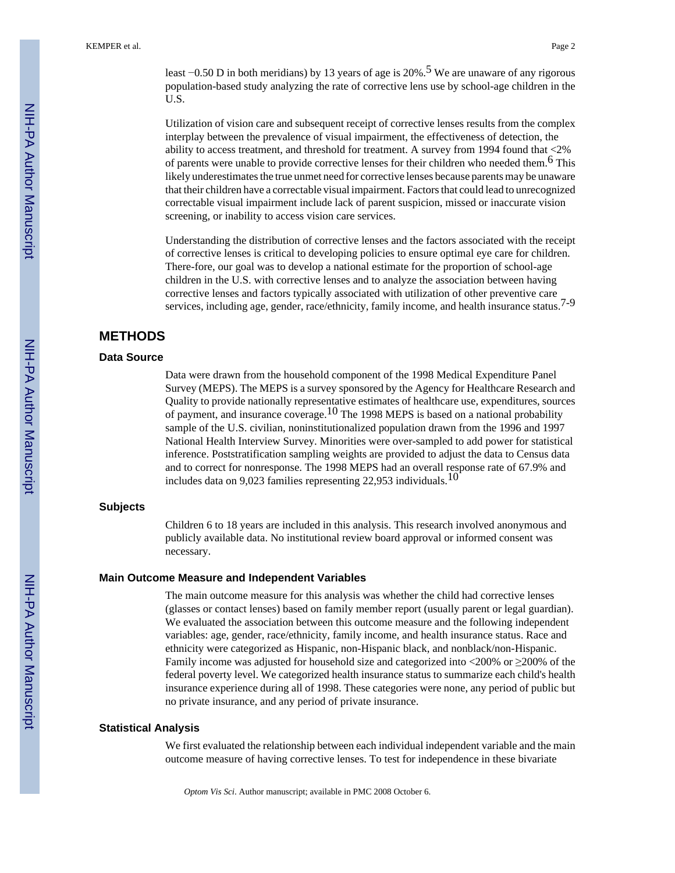least  $-0.50$  D in both meridians) by 13 years of age is 20%.<sup>5</sup> We are unaware of any rigorous population-based study analyzing the rate of corrective lens use by school-age children in the U.S.

Utilization of vision care and subsequent receipt of corrective lenses results from the complex interplay between the prevalence of visual impairment, the effectiveness of detection, the ability to access treatment, and threshold for treatment. A survey from 1994 found that <2% of parents were unable to provide corrective lenses for their children who needed them.<sup>6</sup> This likely underestimates the true unmet need for corrective lenses because parents may be unaware that their children have a correctable visual impairment. Factors that could lead to unrecognized correctable visual impairment include lack of parent suspicion, missed or inaccurate vision screening, or inability to access vision care services.

Understanding the distribution of corrective lenses and the factors associated with the receipt of corrective lenses is critical to developing policies to ensure optimal eye care for children. There-fore, our goal was to develop a national estimate for the proportion of school-age children in the U.S. with corrective lenses and to analyze the association between having corrective lenses and factors typically associated with utilization of other preventive care services, including age, gender, race/ethnicity, family income, and health insurance status.<sup>7-9</sup>

## **METHODS**

#### **Data Source**

Data were drawn from the household component of the 1998 Medical Expenditure Panel Survey (MEPS). The MEPS is a survey sponsored by the Agency for Healthcare Research and Quality to provide nationally representative estimates of healthcare use, expenditures, sources of payment, and insurance coverage.<sup>10</sup> The 1998 MEPS is based on a national probability sample of the U.S. civilian, noninstitutionalized population drawn from the 1996 and 1997 National Health Interview Survey. Minorities were over-sampled to add power for statistical inference. Poststratification sampling weights are provided to adjust the data to Census data and to correct for nonresponse. The 1998 MEPS had an overall response rate of 67.9% and includes data on 9,023 families representing 22,953 individuals.10

#### **Subjects**

Children 6 to 18 years are included in this analysis. This research involved anonymous and publicly available data. No institutional review board approval or informed consent was necessary.

#### **Main Outcome Measure and Independent Variables**

The main outcome measure for this analysis was whether the child had corrective lenses (glasses or contact lenses) based on family member report (usually parent or legal guardian). We evaluated the association between this outcome measure and the following independent variables: age, gender, race/ethnicity, family income, and health insurance status. Race and ethnicity were categorized as Hispanic, non-Hispanic black, and nonblack/non-Hispanic. Family income was adjusted for household size and categorized into  $\langle 200\% \rangle$  or  $\geq 200\%$  of the federal poverty level. We categorized health insurance status to summarize each child's health insurance experience during all of 1998. These categories were none, any period of public but no private insurance, and any period of private insurance.

#### **Statistical Analysis**

We first evaluated the relationship between each individual independent variable and the main outcome measure of having corrective lenses. To test for independence in these bivariate

*Optom Vis Sci*. Author manuscript; available in PMC 2008 October 6.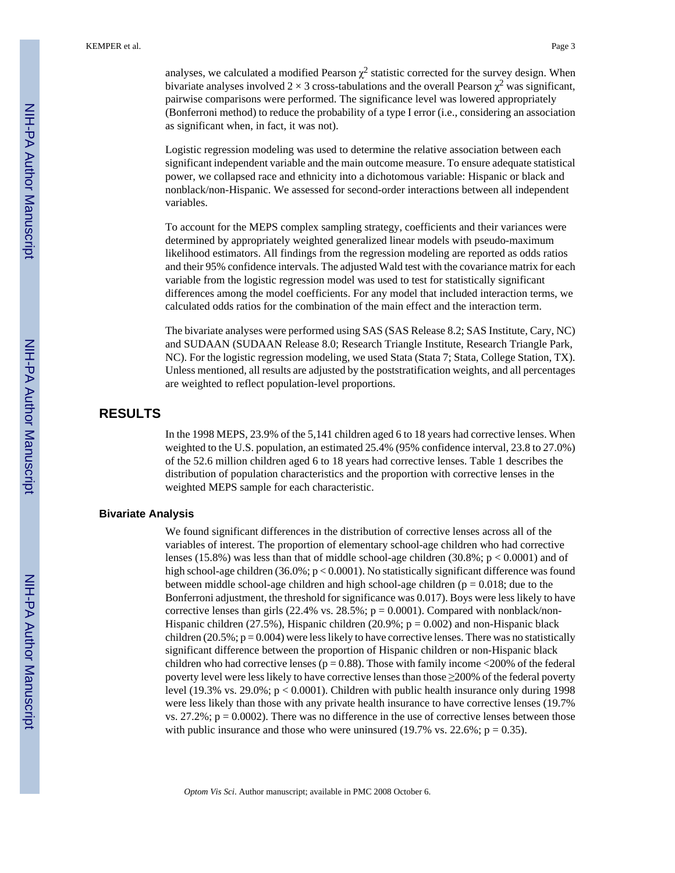analyses, we calculated a modified Pearson  $\chi^2$  statistic corrected for the survey design. When bivariate analyses involved 2  $\times$  3 cross-tabulations and the overall Pearson  $\chi^2$  was significant, pairwise comparisons were performed. The significance level was lowered appropriately (Bonferroni method) to reduce the probability of a type I error (i.e., considering an association as significant when, in fact, it was not).

Logistic regression modeling was used to determine the relative association between each significant independent variable and the main outcome measure. To ensure adequate statistical power, we collapsed race and ethnicity into a dichotomous variable: Hispanic or black and nonblack/non-Hispanic. We assessed for second-order interactions between all independent variables.

To account for the MEPS complex sampling strategy, coefficients and their variances were determined by appropriately weighted generalized linear models with pseudo-maximum likelihood estimators. All findings from the regression modeling are reported as odds ratios and their 95% confidence intervals. The adjusted Wald test with the covariance matrix for each variable from the logistic regression model was used to test for statistically significant differences among the model coefficients. For any model that included interaction terms, we calculated odds ratios for the combination of the main effect and the interaction term.

The bivariate analyses were performed using SAS (SAS Release 8.2; SAS Institute, Cary, NC) and SUDAAN (SUDAAN Release 8.0; Research Triangle Institute, Research Triangle Park, NC). For the logistic regression modeling, we used Stata (Stata 7; Stata, College Station, TX). Unless mentioned, all results are adjusted by the poststratification weights, and all percentages are weighted to reflect population-level proportions.

## **RESULTS**

In the 1998 MEPS, 23.9% of the 5,141 children aged 6 to 18 years had corrective lenses. When weighted to the U.S. population, an estimated 25.4% (95% confidence interval, 23.8 to 27.0%) of the 52.6 million children aged 6 to 18 years had corrective lenses. Table 1 describes the distribution of population characteristics and the proportion with corrective lenses in the weighted MEPS sample for each characteristic.

#### **Bivariate Analysis**

We found significant differences in the distribution of corrective lenses across all of the variables of interest. The proportion of elementary school-age children who had corrective lenses (15.8%) was less than that of middle school-age children (30.8%;  $p < 0.0001$ ) and of high school-age children  $(36.0\%; p < 0.0001)$ . No statistically significant difference was found between middle school-age children and high school-age children ( $p = 0.018$ ; due to the Bonferroni adjustment, the threshold for significance was 0.017). Boys were less likely to have corrective lenses than girls  $(22.4\% \text{ vs. } 28.5\%; \text{ p} = 0.0001)$ . Compared with nonblack/non-Hispanic children (27.5%), Hispanic children (20.9%;  $p = 0.002$ ) and non-Hispanic black children (20.5%;  $p = 0.004$ ) were less likely to have corrective lenses. There was no statistically significant difference between the proportion of Hispanic children or non-Hispanic black children who had corrective lenses ( $p = 0.88$ ). Those with family income <200% of the federal poverty level were less likely to have corrective lenses than those ≥200% of the federal poverty level (19.3% vs. 29.0%; p < 0.0001). Children with public health insurance only during 1998 were less likely than those with any private health insurance to have corrective lenses (19.7% vs.  $27.2\%$ ;  $p = 0.0002$ ). There was no difference in the use of corrective lenses between those with public insurance and those who were uninsured (19.7% vs. 22.6%;  $p = 0.35$ ).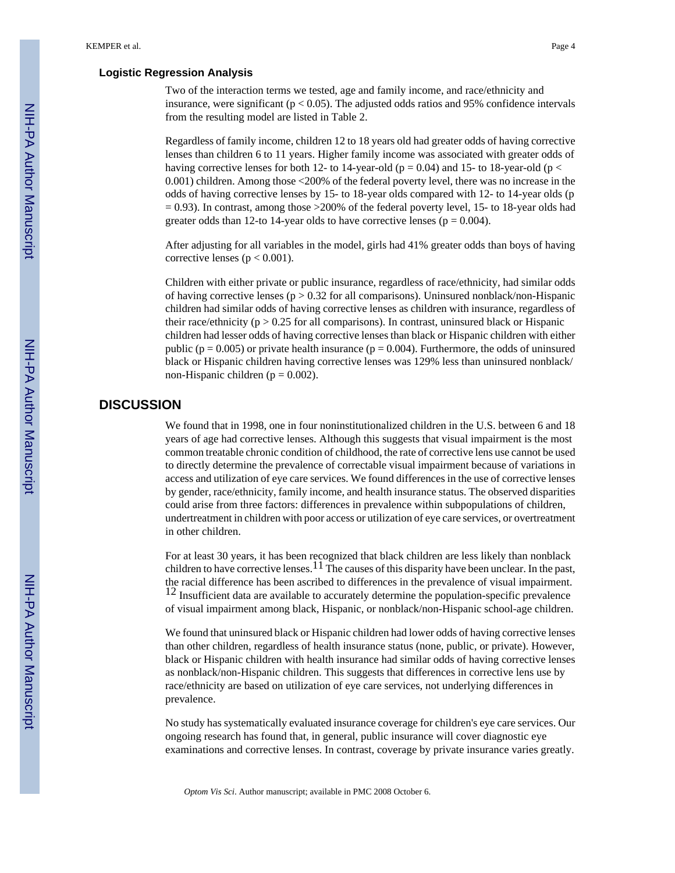#### **Logistic Regression Analysis**

Two of the interaction terms we tested, age and family income, and race/ethnicity and insurance, were significant ( $p < 0.05$ ). The adjusted odds ratios and 95% confidence intervals from the resulting model are listed in Table 2.

Regardless of family income, children 12 to 18 years old had greater odds of having corrective lenses than children 6 to 11 years. Higher family income was associated with greater odds of having corrective lenses for both 12- to 14-year-old ( $p = 0.04$ ) and 15- to 18-year-old ( $p <$ 0.001) children. Among those <200% of the federal poverty level, there was no increase in the odds of having corrective lenses by 15- to 18-year olds compared with 12- to 14-year olds (p  $= 0.93$ ). In contrast, among those  $>200\%$  of the federal poverty level, 15- to 18-year olds had greater odds than 12-to 14-year olds to have corrective lenses ( $p = 0.004$ ).

After adjusting for all variables in the model, girls had 41% greater odds than boys of having corrective lenses ( $p < 0.001$ ).

Children with either private or public insurance, regardless of race/ethnicity, had similar odds of having corrective lenses ( $p > 0.32$  for all comparisons). Uninsured nonblack/non-Hispanic children had similar odds of having corrective lenses as children with insurance, regardless of their race/ethnicity ( $p > 0.25$  for all comparisons). In contrast, uninsured black or Hispanic children had lesser odds of having corrective lenses than black or Hispanic children with either public ( $p = 0.005$ ) or private health insurance ( $p = 0.004$ ). Furthermore, the odds of uninsured black or Hispanic children having corrective lenses was 129% less than uninsured nonblack/ non-Hispanic children ( $p = 0.002$ ).

#### **DISCUSSION**

We found that in 1998, one in four noninstitutionalized children in the U.S. between 6 and 18 years of age had corrective lenses. Although this suggests that visual impairment is the most common treatable chronic condition of childhood, the rate of corrective lens use cannot be used to directly determine the prevalence of correctable visual impairment because of variations in access and utilization of eye care services. We found differences in the use of corrective lenses by gender, race/ethnicity, family income, and health insurance status. The observed disparities could arise from three factors: differences in prevalence within subpopulations of children, undertreatment in children with poor access or utilization of eye care services, or overtreatment in other children.

For at least 30 years, it has been recognized that black children are less likely than nonblack children to have corrective lenses.  $^{11}$  The causes of this disparity have been unclear. In the past, the racial difference has been ascribed to differences in the prevalence of visual impairment.  $12$  Insufficient data are available to accurately determine the population-specific prevalence of visual impairment among black, Hispanic, or nonblack/non-Hispanic school-age children.

We found that uninsured black or Hispanic children had lower odds of having corrective lenses than other children, regardless of health insurance status (none, public, or private). However, black or Hispanic children with health insurance had similar odds of having corrective lenses as nonblack/non-Hispanic children. This suggests that differences in corrective lens use by race/ethnicity are based on utilization of eye care services, not underlying differences in prevalence.

No study has systematically evaluated insurance coverage for children's eye care services. Our ongoing research has found that, in general, public insurance will cover diagnostic eye examinations and corrective lenses. In contrast, coverage by private insurance varies greatly.

*Optom Vis Sci*. Author manuscript; available in PMC 2008 October 6.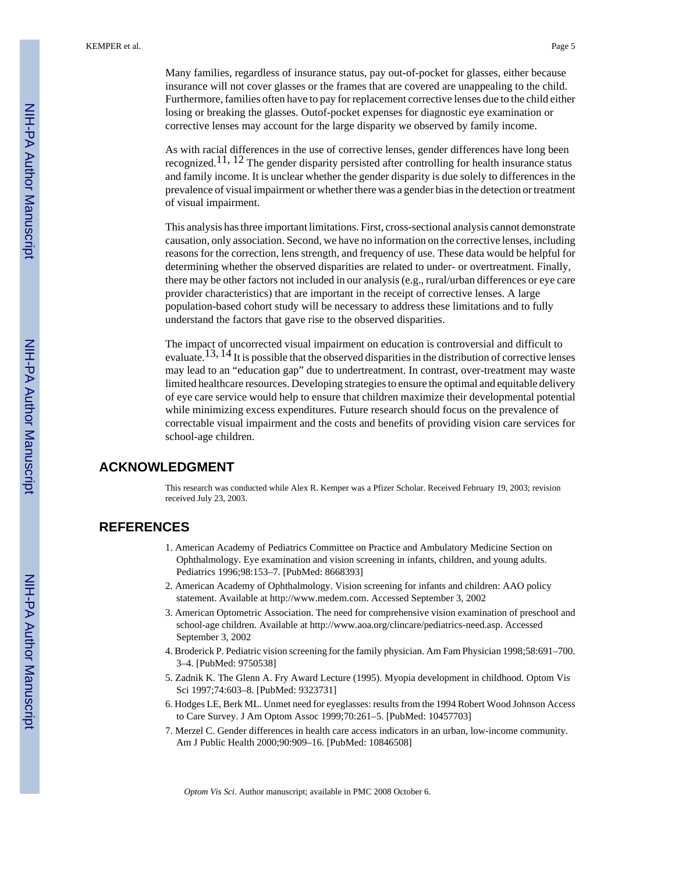Many families, regardless of insurance status, pay out-of-pocket for glasses, either because insurance will not cover glasses or the frames that are covered are unappealing to the child. Furthermore, families often have to pay for replacement corrective lenses due to the child either losing or breaking the glasses. Outof-pocket expenses for diagnostic eye examination or corrective lenses may account for the large disparity we observed by family income.

As with racial differences in the use of corrective lenses, gender differences have long been recognized.11, 12 The gender disparity persisted after controlling for health insurance status and family income. It is unclear whether the gender disparity is due solely to differences in the prevalence of visual impairment or whether there was a gender bias in the detection or treatment of visual impairment.

This analysis has three important limitations. First, cross-sectional analysis cannot demonstrate causation, only association. Second, we have no information on the corrective lenses, including reasons for the correction, lens strength, and frequency of use. These data would be helpful for determining whether the observed disparities are related to under- or overtreatment. Finally, there may be other factors not included in our analysis (e.g., rural/urban differences or eye care provider characteristics) that are important in the receipt of corrective lenses. A large population-based cohort study will be necessary to address these limitations and to fully understand the factors that gave rise to the observed disparities.

The impact of uncorrected visual impairment on education is controversial and difficult to evaluate.13, 14 It is possible that the observed disparities in the distribution of corrective lenses may lead to an "education gap" due to undertreatment. In contrast, over-treatment may waste limited healthcare resources. Developing strategies to ensure the optimal and equitable delivery of eye care service would help to ensure that children maximize their developmental potential while minimizing excess expenditures. Future research should focus on the prevalence of correctable visual impairment and the costs and benefits of providing vision care services for school-age children.

# **ACKNOWLEDGMENT**

This research was conducted while Alex R. Kemper was a Pfizer Scholar. Received February 19, 2003; revision received July 23, 2003.

# **REFERENCES**

- 1. American Academy of Pediatrics Committee on Practice and Ambulatory Medicine Section on Ophthalmology. Eye examination and vision screening in infants, children, and young adults. Pediatrics 1996;98:153–7. [PubMed: 8668393]
- 2. American Academy of Ophthalmology. Vision screening for infants and children: AAO policy statement. Available at <http://www.medem.com>. Accessed September 3, 2002
- 3. American Optometric Association. The need for comprehensive vision examination of preschool and school-age children. Available at [http://www.aoa.org/clincare/pediatrics-need.asp.](http://www.aoa.org/clincare/pediatrics-need.asp) Accessed September 3, 2002
- 4. Broderick P. Pediatric vision screening for the family physician. Am Fam Physician 1998;58:691–700. 3–4. [PubMed: 9750538]
- 5. Zadnik K. The Glenn A. Fry Award Lecture (1995). Myopia development in childhood. Optom Vis Sci 1997;74:603–8. [PubMed: 9323731]
- 6. Hodges LE, Berk ML. Unmet need for eyeglasses: results from the 1994 Robert Wood Johnson Access to Care Survey. J Am Optom Assoc 1999;70:261–5. [PubMed: 10457703]
- 7. Merzel C. Gender differences in health care access indicators in an urban, low-income community. Am J Public Health 2000;90:909–16. [PubMed: 10846508]

*Optom Vis Sci*. Author manuscript; available in PMC 2008 October 6.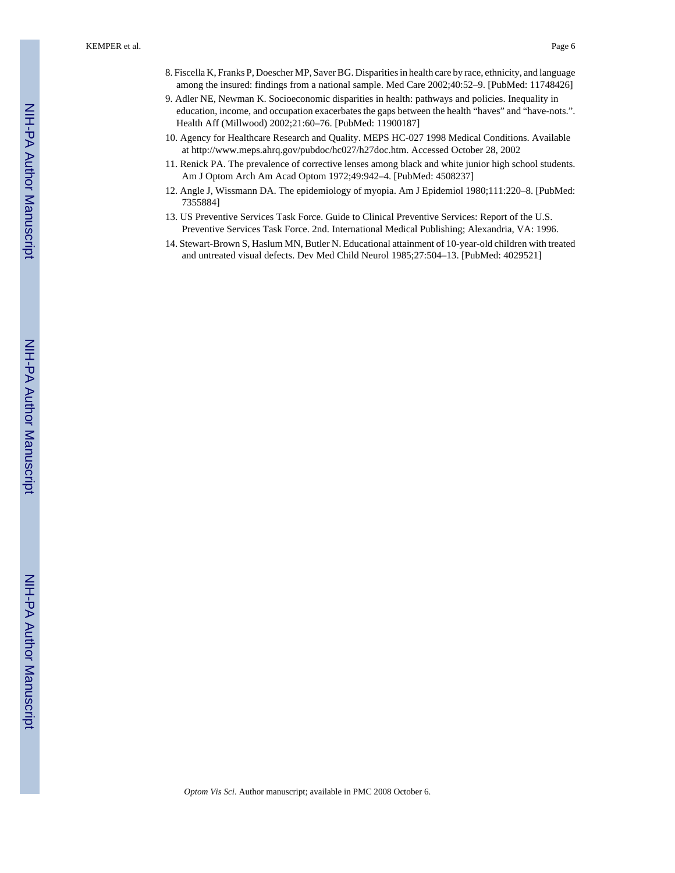- 9. Adler NE, Newman K. Socioeconomic disparities in health: pathways and policies. Inequality in education, income, and occupation exacerbates the gaps between the health "haves" and "have-nots.". Health Aff (Millwood) 2002;21:60–76. [PubMed: 11900187]
- 10. Agency for Healthcare Research and Quality. MEPS HC-027 1998 Medical Conditions. Available at [http://www.meps.ahrq.gov/pubdoc/hc027/h27doc.htm.](http://www.meps.ahrq.gov/pubdoc/hc027/h27doc.htm) Accessed October 28, 2002
- 11. Renick PA. The prevalence of corrective lenses among black and white junior high school students. Am J Optom Arch Am Acad Optom 1972;49:942–4. [PubMed: 4508237]
- 12. Angle J, Wissmann DA. The epidemiology of myopia. Am J Epidemiol 1980;111:220–8. [PubMed: 7355884]
- 13. US Preventive Services Task Force. Guide to Clinical Preventive Services: Report of the U.S. Preventive Services Task Force. 2nd. International Medical Publishing; Alexandria, VA: 1996.
- 14. Stewart-Brown S, Haslum MN, Butler N. Educational attainment of 10-year-old children with treated and untreated visual defects. Dev Med Child Neurol 1985;27:504–13. [PubMed: 4029521]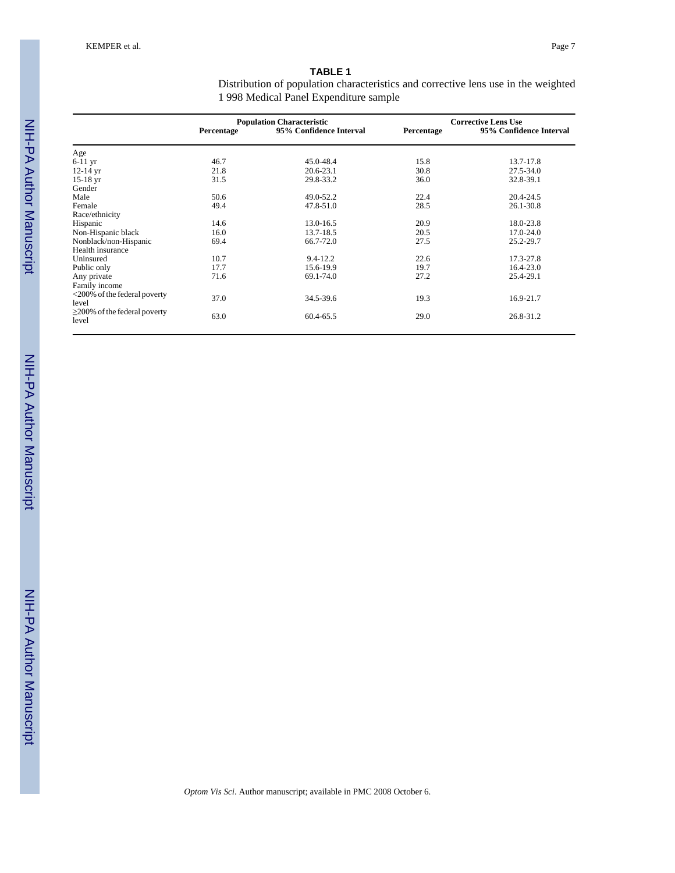| <b>TABLE 1</b>                                                                     |  |
|------------------------------------------------------------------------------------|--|
| Distribution of population characteristics and corrective lens use in the weighted |  |
| 1998 Medical Panel Expenditure sample                                              |  |

|                                    |            | <b>Population Characteristic</b> |            | <b>Corrective Lens Use</b> |  |  |  |
|------------------------------------|------------|----------------------------------|------------|----------------------------|--|--|--|
|                                    | Percentage | 95% Confidence Interval          | Percentage | 95% Confidence Interval    |  |  |  |
| Age                                |            |                                  |            |                            |  |  |  |
| 6-11 yr                            | 46.7       | 45.0-48.4                        | 15.8       | 13.7-17.8                  |  |  |  |
| 12-14 yr                           | 21.8       | $20.6 - 23.1$                    | 30.8       | 27.5-34.0                  |  |  |  |
| $15-18$ yr                         | 31.5       | 29.8-33.2                        | 36.0       | 32.8-39.1                  |  |  |  |
| Gender                             |            |                                  |            |                            |  |  |  |
| Male                               | 50.6       | 49.0-52.2                        | 22.4       | 20.4-24.5                  |  |  |  |
| Female                             | 49.4       | 47.8-51.0                        | 28.5       | 26.1-30.8                  |  |  |  |
| Race/ethnicity                     |            |                                  |            |                            |  |  |  |
| Hispanic                           | 14.6       | 13.0-16.5                        | 20.9       | 18.0-23.8                  |  |  |  |
| Non-Hispanic black                 | 16.0       | 13.7-18.5                        | 20.5       | 17.0-24.0                  |  |  |  |
| Nonblack/non-Hispanic              | 69.4       | 66.7-72.0                        | 27.5       | 25.2-29.7                  |  |  |  |
| Health insurance                   |            |                                  |            |                            |  |  |  |
| Uninsured                          | 10.7       | $9.4 - 12.2$                     | 22.6       | 17.3-27.8                  |  |  |  |
| Public only                        | 17.7       | 15.6-19.9                        | 19.7       | 16.4-23.0                  |  |  |  |
| Any private                        | 71.6       | 69.1-74.0                        | 27.2       | 25.4-29.1                  |  |  |  |
| Family income                      |            |                                  |            |                            |  |  |  |
| <200% of the federal poverty       |            |                                  |            |                            |  |  |  |
| level                              | 37.0       | 34.5-39.6                        | 19.3       | 16.9-21.7                  |  |  |  |
| $\geq$ 200% of the federal poverty |            |                                  |            |                            |  |  |  |
| level                              | 63.0       | 60.4-65.5                        | 29.0       | 26.8-31.2                  |  |  |  |

NIH-PA Author Manuscript NIH-PA Author Manuscript